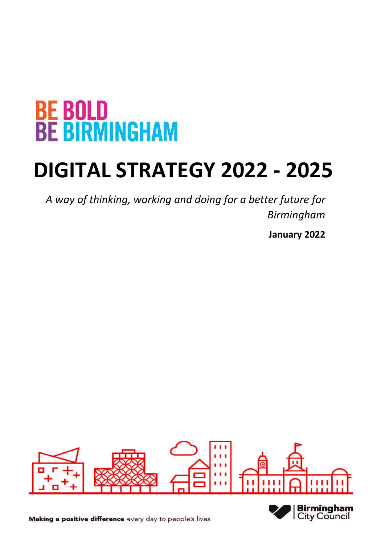# **BE BOLD<br>BE BIRMINGHAM**

# **DIGITAL STRATEGY 2022 - 2025**

*A way of thinking, working and doing for a better future for Birmingham* 

**January 2022** 





Making a positive difference every day to people's lives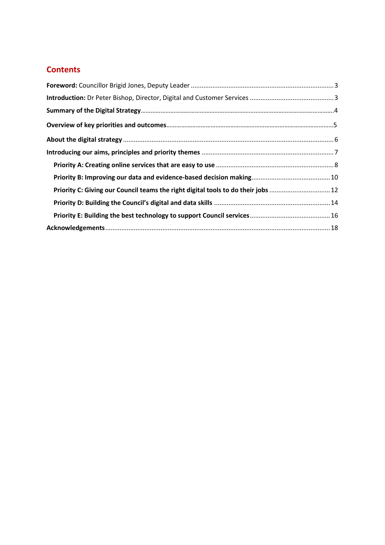# **Contents**

| Priority C: Giving our Council teams the right digital tools to do their jobs  12 |  |
|-----------------------------------------------------------------------------------|--|
|                                                                                   |  |
|                                                                                   |  |
|                                                                                   |  |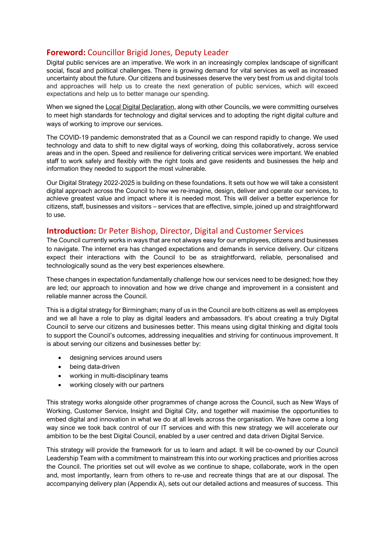# <span id="page-2-0"></span>**Foreword:** Councillor Brigid Jones, Deputy Leader

Digital public services are an imperative. We work in an increasingly complex landscape of significant social, fiscal and political challenges. There is growing demand for vital services as well as increased uncertainty about the future. Our citizens and businesses deserve the very best from us and digital tools and approaches will help us to create the next generation of public services, which will exceed expectations and help us to better manage our spending.

When we signed the [Local Digital Declaration,](https://www.localdigital.gov.uk/declaration/) along with other Councils, we were committing ourselves to meet high standards for technology and digital services and to adopting the right digital culture and ways of working to improve our services.

The COVID-19 pandemic demonstrated that as a Council we can respond rapidly to change. We used technology and data to shift to new digital ways of working, doing this collaboratively, across service areas and in the open. Speed and resilience for delivering critical services were important. We enabled staff to work safely and flexibly with the right tools and gave residents and businesses the help and information they needed to support the most vulnerable.

Our Digital Strategy 2022-2025 is building on these foundations. It sets out how we will take a consistent digital approach across the Council to how we re-imagine, design, deliver and operate our services, to achieve greatest value and impact where it is needed most. This will deliver a better experience for citizens, staff, businesses and visitors – services that are effective, simple, joined up and straightforward to use.

# <span id="page-2-1"></span>**Introduction:** Dr Peter Bishop, Director, Digital and Customer Services

The Council currently works in ways that are not always easy for our employees, citizens and businesses to navigate. The internet era has changed expectations and demands in service delivery. Our citizens expect their interactions with the Council to be as straightforward, reliable, personalised and technologically sound as the very best experiences elsewhere.

These changes in expectation fundamentally challenge how our services need to be designed; how they are led; our approach to innovation and how we drive change and improvement in a consistent and reliable manner across the Council.

This is a digital strategy for Birmingham; many of us in the Council are both citizens as well as employees and we all have a role to play as digital leaders and ambassadors. It's about creating a truly Digital Council to serve our citizens and businesses better. This means using digital thinking and digital tools to support the Council's outcomes, addressing inequalities and striving for continuous improvement. It is about serving our citizens and businesses better by:

- designing services around users
- being data-driven
- working in multi-disciplinary teams
- working closely with our partners

This strategy works alongside other programmes of change across the Council, such as New Ways of Working, Customer Service, Insight and Digital City, and together will maximise the opportunities to embed digital and innovation in what we do at all levels across the organisation. We have come a long way since we took back control of our IT services and with this new strategy we will accelerate our ambition to be the best Digital Council, enabled by a user centred and data driven Digital Service.

This strategy will provide the framework for us to learn and adapt. It will be co-owned by our Council Leadership Team with a commitment to mainstream this into our working practices and priorities across the Council. The priorities set out will evolve as we continue to shape, collaborate, work in the open and, most importantly, learn from others to re-use and recreate things that are at our disposal. The accompanying delivery plan (Appendix A), sets out our detailed actions and measures of success. This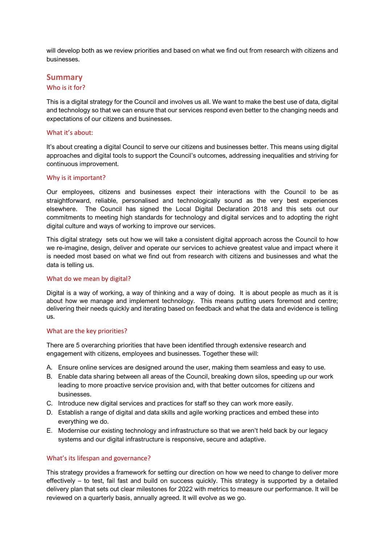will develop both as we review priorities and based on what we find out from research with citizens and businesses.

#### **Summary**

#### Who is it for?

This is a digital strategy for the Council and involves us all. We want to make the best use of data, digital and technology so that we can ensure that our services respond even better to the changing needs and expectations of our citizens and businesses.

#### What it's about:

It's about creating a digital Council to serve our citizens and businesses better. This means using digital approaches and digital tools to support the Council's outcomes, addressing inequalities and striving for continuous improvement.

#### Why is it important?

Our employees, citizens and businesses expect their interactions with the Council to be as straightforward, reliable, personalised and technologically sound as the very best experiences elsewhere. The Council has signed the Local Digital Declaration 2018 and this sets out our commitments to meeting high standards for technology and digital services and to adopting the right digital culture and ways of working to improve our services.

This digital strategy sets out how we will take a consistent digital approach across the Council to how we re-imagine, design, deliver and operate our services to achieve greatest value and impact where it is needed most based on what we find out from research with citizens and businesses and what the data is telling us.

#### What do we mean by digital?

Digital is a way of working, a way of thinking and a way of doing. It is about people as much as it is about how we manage and implement technology. This means putting users foremost and centre; delivering their needs quickly and iterating based on feedback and what the data and evidence is telling us.

#### What are the key priorities?

There are 5 overarching priorities that have been identified through extensive research and engagement with citizens, employees and businesses. Together these will:

- A. Ensure online services are designed around the user, making them seamless and easy to use.
- B. Enable data sharing between all areas of the Council, breaking down silos, speeding up our work leading to more proactive service provision and, with that better outcomes for citizens and businesses.
- C. Introduce new digital services and practices for staff so they can work more easily.
- D. Establish a range of digital and data skills and agile working practices and embed these into everything we do.
- E. Modernise our existing technology and infrastructure so that we aren't held back by our legacy systems and our digital infrastructure is responsive, secure and adaptive.

#### What's its lifespan and governance?

This strategy provides a framework for setting our direction on how we need to change to deliver more effectively – to test, fail fast and build on success quickly. This strategy is supported by a detailed delivery plan that sets out clear milestones for 2022 with metrics to measure our performance. It will be reviewed on a quarterly basis, annually agreed. It will evolve as we go.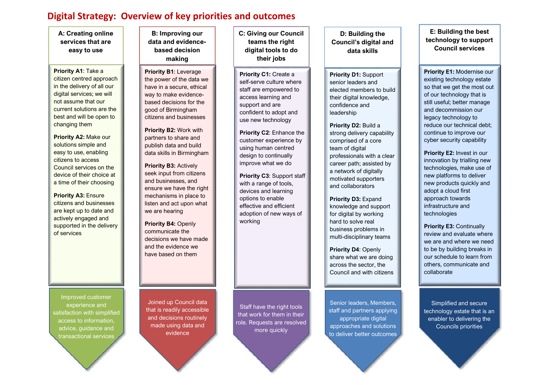# **Digital Strategy: Overview of key priorities and outcomes**

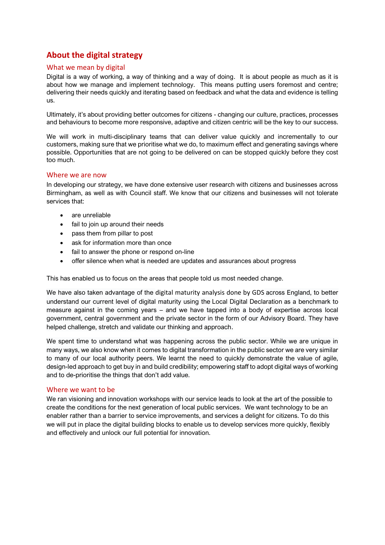# <span id="page-5-0"></span>**About the digital strategy**

#### What we mean by digital

Digital is a way of working, a way of thinking and a way of doing. It is about people as much as it is about how we manage and implement technology. This means putting users foremost and centre; delivering their needs quickly and iterating based on feedback and what the data and evidence is telling us.

Ultimately, it's about providing better outcomes for citizens - changing our culture, practices, processes and behaviours to become more responsive, adaptive and citizen centric will be the key to our success.

We will work in multi-disciplinary teams that can deliver value quickly and incrementally to our customers, making sure that we prioritise what we do, to maximum effect and generating savings where possible. Opportunities that are not going to be delivered on can be stopped quickly before they cost too much.

#### Where we are now

In developing our strategy, we have done extensive user research with citizens and businesses across Birmingham, as well as with Council staff. We know that our citizens and businesses will not tolerate services that:

- are unreliable
- fail to join up around their needs
- pass them from pillar to post
- ask for information more than once
- fail to answer the phone or respond on-line
- offer silence when what is needed are updates and assurances about progress

This has enabled us to focus on the areas that people told us most needed change.

We have also taken advantage of the [digital maturity analysis done by GDS](https://github.com/alphagov/la-digital-maturity-analysis) across England, to better understand our current level of digital maturity using the [Local Digital Declaration](https://www.localdigital.gov.uk/declaration/) as a benchmark to measure against in the coming years – and we have tapped into a body of expertise across local government, central government and the private sector in the form of our Advisory Board. They have helped challenge, stretch and validate our thinking and approach.

We spent time to understand what was happening across the public sector. While we are unique in many ways, we also know when it comes to digital transformation in the public sector we are very similar to many of our local authority peers. We learnt the need to quickly demonstrate the value of agile, design-led approach to get buy in and build credibility; empowering staff to adopt digital ways of working and to de-prioritise the things that don't add value.

#### Where we want to be

We ran visioning and innovation workshops with our service leads to look at the art of the possible to create the conditions for the next generation of local public services. We want technology to be an enabler rather than a barrier to service improvements, and services a delight for citizens. To do this we will put in place the digital building blocks to enable us to develop services more quickly, flexibly and effectively and unlock our full potential for innovation.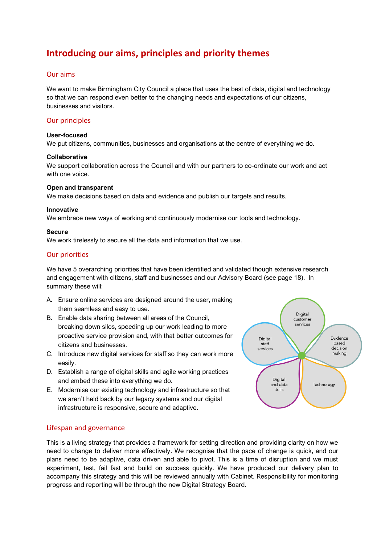# <span id="page-6-0"></span>**Introducing our aims, principles and priority themes**

#### Our aims

We want to make Birmingham City Council a place that uses the best of data, digital and technology so that we can respond even better to the changing needs and expectations of our citizens, businesses and visitors.

#### Our principles

#### **User-focused**

We put citizens, communities, businesses and organisations at the centre of everything we do.

#### **Collaborative**

We support collaboration across the Council and with our partners to co-ordinate our work and act with one voice.

#### **Open and transparent**

We make decisions based on data and evidence and publish our targets and results.

#### **Innovative**

We embrace new ways of working and continuously modernise our tools and technology.

#### **Secure**

We work tirelessly to secure all the data and information that we use.

#### Our priorities

We have 5 overarching priorities that have been identified and validated though extensive research and engagement with citizens, staff and businesses and our Advisory Board (see page 18). In summary these will:

- A. Ensure online services are designed around the user, making them seamless and easy to use.
- B. Enable data sharing between all areas of the Council, breaking down silos, speeding up our work leading to more proactive service provision and, with that better outcomes for citizens and businesses.
- C. Introduce new digital services for staff so they can work more easily.
- D. Establish a range of digital skills and agile working practices and embed these into everything we do.
- E. Modernise our existing technology and infrastructure so that we aren't held back by our legacy systems and our digital infrastructure is responsive, secure and adaptive.

#### Lifespan and governance

This is a living strategy that provides a framework for setting direction and providing clarity on how we need to change to deliver more effectively. We recognise that the pace of change is quick, and our plans need to be adaptive, data driven and able to pivot. This is a time of disruption and we must experiment, test, fail fast and build on success quickly. We have produced our delivery plan to accompany this strategy and this will be reviewed annually with Cabinet. Responsibility for monitoring progress and reporting will be through the new Digital Strategy Board.

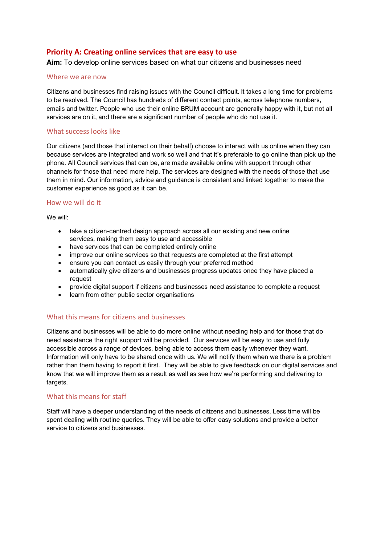#### <span id="page-7-0"></span>**Priority A: Creating online services that are easy to use**

**Aim:** To develop online services based on what our citizens and businesses need

#### Where we are now

Citizens and businesses find raising issues with the Council difficult. It takes a long time for problems to be resolved. The Council has hundreds of different contact points, across telephone numbers, emails and twitter. People who use their online BRUM account are generally happy with it, but not all services are on it, and there are a significant number of people who do not use it.

#### What success looks like

Our citizens (and those that interact on their behalf) choose to interact with us online when they can because services are integrated and work so well and that it's preferable to go online than pick up the phone. All Council services that can be, are made available online with support through other channels for those that need more help. The services are designed with the needs of those that use them in mind. Our information, advice and guidance is consistent and linked together to make the customer experience as good as it can be.

#### How we will do it

We will:

- take a citizen-centred design approach across all our existing and new online services, making them easy to use and accessible
- have services that can be completed entirely online
- improve our online services so that requests are completed at the first attempt
- ensure you can contact us easily through your preferred method
- automatically give citizens and businesses progress updates once they have placed a request
- provide digital support if citizens and businesses need assistance to complete a request
- learn from other public sector organisations

#### What this means for citizens and businesses

Citizens and businesses will be able to do more online without needing help and for those that do need assistance the right support will be provided. Our services will be easy to use and fully accessible across a range of devices, being able to access them easily whenever they want. Information will only have to be shared once with us. We will notify them when we there is a problem rather than them having to report it first. They will be able to give feedback on our digital services and know that we will improve them as a result as well as see how we're performing and delivering to targets.

#### What this means for staff

Staff will have a deeper understanding of the needs of citizens and businesses. Less time will be spent dealing with routine queries. They will be able to offer easy solutions and provide a better service to citizens and businesses.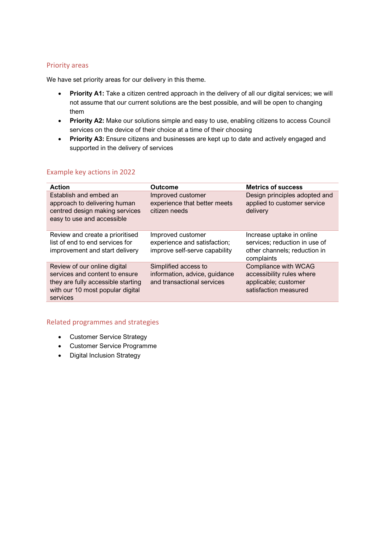We have set priority areas for our delivery in this theme.

- **Priority A1:** Take a citizen centred approach in the delivery of all our digital services; we will not assume that our current solutions are the best possible, and will be open to changing them
- **Priority A2:** Make our solutions simple and easy to use, enabling citizens to access Council services on the device of their choice at a time of their choosing
- **Priority A3:** Ensure citizens and businesses are kept up to date and actively engaged and supported in the delivery of services

#### Example key actions in 2022

| <b>Action</b>                                                                                                                                        | <b>Outcome</b>                                                                      | <b>Metrics of success</b>                                                                                |
|------------------------------------------------------------------------------------------------------------------------------------------------------|-------------------------------------------------------------------------------------|----------------------------------------------------------------------------------------------------------|
| Establish and embed an<br>approach to delivering human<br>centred design making services<br>easy to use and accessible                               | Improved customer<br>experience that better meets<br>citizen needs                  | Design principles adopted and<br>applied to customer service<br>delivery                                 |
| Review and create a prioritised<br>list of end to end services for<br>improvement and start delivery                                                 | Improved customer<br>experience and satisfaction;<br>improve self-serve capability  | Increase uptake in online<br>services; reduction in use of<br>other channels; reduction in<br>complaints |
| Review of our online digital<br>services and content to ensure<br>they are fully accessible starting<br>with our 10 most popular digital<br>services | Simplified access to<br>information, advice, guidance<br>and transactional services | Compliance with WCAG<br>accessibility rules where<br>applicable; customer<br>satisfaction measured       |

- Customer Service Strategy
- Customer Service Programme
- Digital Inclusion Strategy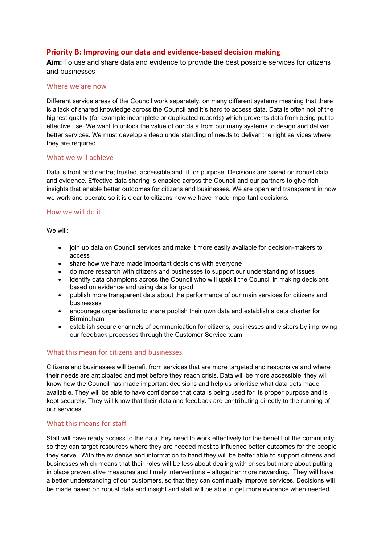#### <span id="page-9-0"></span>**Priority B: Improving our data and evidence-based decision making**

**Aim:** To use and share data and evidence to provide the best possible services for citizens and businesses

#### Where we are now

Different service areas of the Council work separately, on many different systems meaning that there is a lack of shared knowledge across the Council and it's hard to access data. Data is often not of the highest quality (for example incomplete or duplicated records) which prevents data from being put to effective use. We want to unlock the value of our data from our many systems to design and deliver better services. We must develop a deep understanding of needs to deliver the right services where they are required.

#### What we will achieve

Data is front and centre; trusted, accessible and fit for purpose. Decisions are based on robust data and evidence. Effective data sharing is enabled across the Council and our partners to give rich insights that enable better outcomes for citizens and businesses. We are open and transparent in how we work and operate so it is clear to citizens how we have made important decisions.

#### How we will do it

We will:

- join up data on Council services and make it more easily available for decision-makers to access
- share how we have made important decisions with everyone
- do more research with citizens and businesses to support our understanding of issues
- identify data champions across the Council who will upskill the Council in making decisions based on evidence and using data for good
- publish more transparent data about the performance of our main services for citizens and businesses
- encourage organisations to share publish their own data and establish a data charter for Birmingham
- establish secure channels of communication for citizens, businesses and visitors by improving our feedback processes through the Customer Service team

#### What this mean for citizens and businesses

Citizens and businesses will benefit from services that are more targeted and responsive and where their needs are anticipated and met before they reach crisis. Data will be more accessible; they will know how the Council has made important decisions and help us prioritise what data gets made available. They will be able to have confidence that data is being used for its proper purpose and is kept securely. They will know that their data and feedback are contributing directly to the running of our services.

#### What this means for staff

Staff will have ready access to the data they need to work effectively for the benefit of the community so they can target resources where they are needed most to influence better outcomes for the people they serve. With the evidence and information to hand they will be better able to support citizens and businesses which means that their roles will be less about dealing with crises but more about putting in place preventative measures and timely interventions – altogether more rewarding. They will have a better understanding of our customers, so that they can continually improve services. Decisions will be made based on robust data and insight and staff will be able to get more evidence when needed.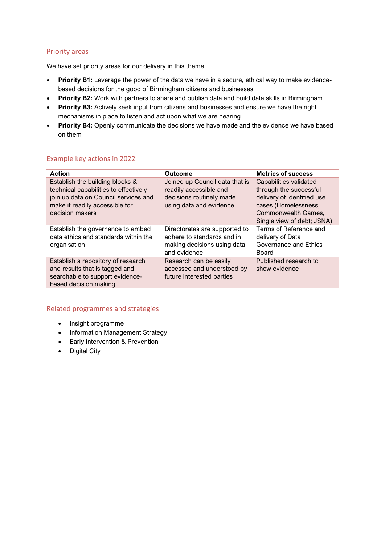We have set priority areas for our delivery in this theme.

- **Priority B1:** Leverage the power of the data we have in a secure, ethical way to make evidencebased decisions for the good of Birmingham citizens and businesses
- **Priority B2:** Work with partners to share and publish data and build data skills in Birmingham
- **Priority B3:** Actively seek input from citizens and businesses and ensure we have the right mechanisms in place to listen and act upon what we are hearing
- **Priority B4:** Openly communicate the decisions we have made and the evidence we have based on them

#### Example key actions in 2022

| <b>Action</b>                                                                                                                                                         | <b>Outcome</b>                                                                                                  | <b>Metrics of success</b>                                                                                                                                   |
|-----------------------------------------------------------------------------------------------------------------------------------------------------------------------|-----------------------------------------------------------------------------------------------------------------|-------------------------------------------------------------------------------------------------------------------------------------------------------------|
| Establish the building blocks &<br>technical capabilities to effectively<br>join up data on Council services and<br>make it readily accessible for<br>decision makers | Joined up Council data that is<br>readily accessible and<br>decisions routinely made<br>using data and evidence | Capabilities validated<br>through the successful<br>delivery of identified use<br>cases (Homelessness,<br>Commonwealth Games,<br>Single view of debt; JSNA) |
| Establish the governance to embed<br>data ethics and standards within the<br>organisation                                                                             | Directorates are supported to<br>adhere to standards and in<br>making decisions using data<br>and evidence      | Terms of Reference and<br>delivery of Data<br>Governance and Ethics<br>Board                                                                                |
| Establish a repository of research<br>and results that is tagged and<br>searchable to support evidence-<br>based decision making                                      | Research can be easily<br>accessed and understood by<br>future interested parties                               | Published research to<br>show evidence                                                                                                                      |

- Insight programme
- Information Management Strategy
- Early Intervention & Prevention
- Digital City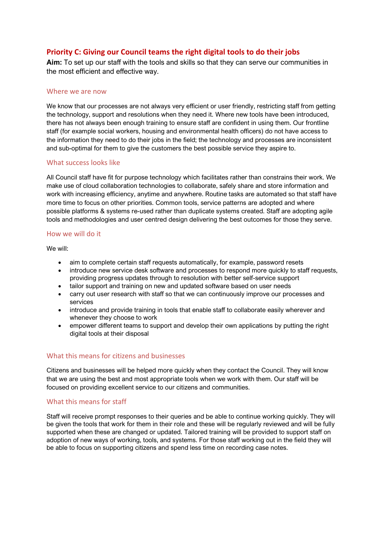### <span id="page-11-0"></span>**Priority C: Giving our Council teams the right digital tools to do their jobs**

**Aim:** To set up our staff with the tools and skills so that they can serve our communities in the most efficient and effective way.

#### Where we are now

We know that our processes are not always very efficient or user friendly, restricting staff from getting the technology, support and resolutions when they need it. Where new tools have been introduced, there has not always been enough training to ensure staff are confident in using them. Our frontline staff (for example social workers, housing and environmental health officers) do not have access to the information they need to do their jobs in the field; the technology and processes are inconsistent and sub-optimal for them to give the customers the best possible service they aspire to.

#### What success looks like

All Council staff have fit for purpose technology which facilitates rather than constrains their work. We make use of cloud collaboration technologies to collaborate, safely share and store information and work with increasing efficiency, anytime and anywhere. Routine tasks are automated so that staff have more time to focus on other priorities. Common tools, service patterns are adopted and where possible platforms & systems re-used rather than duplicate systems created. Staff are adopting agile tools and methodologies and user centred design delivering the best outcomes for those they serve.

#### How we will do it

We will:

- aim to complete certain staff requests automatically, for example, password resets
- introduce new service desk software and processes to respond more quickly to staff requests, providing progress updates through to resolution with better self-service support
- tailor support and training on new and updated software based on user needs
- carry out user research with staff so that we can continuously improve our processes and services
- introduce and provide training in tools that enable staff to collaborate easily wherever and whenever they choose to work
- empower different teams to support and develop their own applications by putting the right digital tools at their disposal

#### What this means for citizens and businesses

Citizens and businesses will be helped more quickly when they contact the Council. They will know that we are using the best and most appropriate tools when we work with them. Our staff will be focused on providing excellent service to our citizens and communities.

#### What this means for staff

Staff will receive prompt responses to their queries and be able to continue working quickly. They will be given the tools that work for them in their role and these will be regularly reviewed and will be fully supported when these are changed or updated. Tailored training will be provided to support staff on adoption of new ways of working, tools, and systems. For those staff working out in the field they will be able to focus on supporting citizens and spend less time on recording case notes.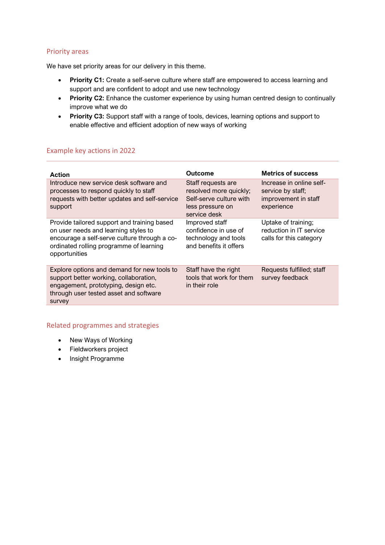We have set priority areas for our delivery in this theme.

- **Priority C1:** Create a self-serve culture where staff are empowered to access learning and support and are confident to adopt and use new technology
- **Priority C2:** Enhance the customer experience by using human centred design to continually improve what we do
- **Priority C3:** Support staff with a range of tools, devices, learning options and support to enable effective and efficient adoption of new ways of working

#### Example key actions in 2022

| <b>Action</b>                                                                                                                                                                                   | <b>Outcome</b>                                                                                              | <b>Metrics of success</b>                                                           |
|-------------------------------------------------------------------------------------------------------------------------------------------------------------------------------------------------|-------------------------------------------------------------------------------------------------------------|-------------------------------------------------------------------------------------|
| Introduce new service desk software and<br>processes to respond quickly to staff<br>requests with better updates and self-service<br>support                                                    | Staff requests are<br>resolved more quickly;<br>Self-serve culture with<br>less pressure on<br>service desk | Increase in online self-<br>service by staff;<br>improvement in staff<br>experience |
| Provide tailored support and training based<br>on user needs and learning styles to<br>encourage a self-serve culture through a co-<br>ordinated rolling programme of learning<br>opportunities | Improved staff<br>confidence in use of<br>technology and tools<br>and benefits it offers                    | Uptake of training;<br>reduction in IT service<br>calls for this category           |
| Explore options and demand for new tools to<br>support better working, collaboration,<br>engagement, prototyping, design etc.<br>through user tested asset and software<br>survey               | Staff have the right<br>tools that work for them<br>in their role                                           | Requests fulfilled; staff<br>survey feedback                                        |

- New Ways of Working
- Fieldworkers project
- Insight Programme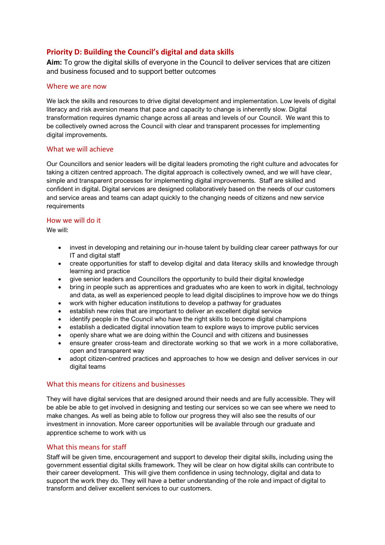# <span id="page-13-0"></span>**Priority D: Building the Council's digital and data skills**

**Aim:** To grow the digital skills of everyone in the Council to deliver services that are citizen and business focused and to support better outcomes

#### Where we are now

We lack the skills and resources to drive digital development and implementation. Low levels of digital literacy and risk aversion means that pace and capacity to change is inherently slow. Digital transformation requires dynamic change across all areas and levels of our Council. We want this to be collectively owned across the Council with clear and transparent processes for implementing digital improvements.

#### What we will achieve

Our Councillors and senior leaders will be digital leaders promoting the right culture and advocates for taking a citizen centred approach. The digital approach is collectively owned, and we will have clear, simple and transparent processes for implementing digital improvements. Staff are skilled and confident in digital. Digital services are designed collaboratively based on the needs of our customers and service areas and teams can adapt quickly to the changing needs of citizens and new service requirements

#### How we will do it

We will:

- invest in developing and retaining our in-house talent by building clear career pathways for our IT and digital staff
- create opportunities for staff to develop digital and data literacy skills and knowledge through learning and practice
- give senior leaders and Councillors the opportunity to build their digital knowledge
- bring in people such as apprentices and graduates who are keen to work in digital, technology and data, as well as experienced people to lead digital disciplines to improve how we do things
- work with higher education institutions to develop a pathway for graduates
- establish new roles that are important to deliver an excellent digital service
- identify people in the Council who have the right skills to become digital champions
- establish a dedicated digital innovation team to explore ways to improve public services
- openly share what we are doing within the Council and with citizens and businesses
- ensure greater cross-team and directorate working so that we work in a more collaborative, open and transparent way
- adopt citizen-centred practices and approaches to how we design and deliver services in our digital teams

#### What this means for citizens and businesses

They will have digital services that are designed around their needs and are fully accessible. They will be able be able to get involved in designing and testing our services so we can see where we need to make changes. As well as being able to follow our progress they will also see the results of our investment in innovation. More career opportunities will be available through our graduate and apprentice scheme to work with us

#### What this means for staff

Staff will be given time, encouragement and support to develop their digital skills, including using the government essential digital skills framework. They will be clear on how digital skills can contribute to their career development. This will give them confidence in using technology, digital and data to support the work they do. They will have a better understanding of the role and impact of digital to transform and deliver excellent services to our customers.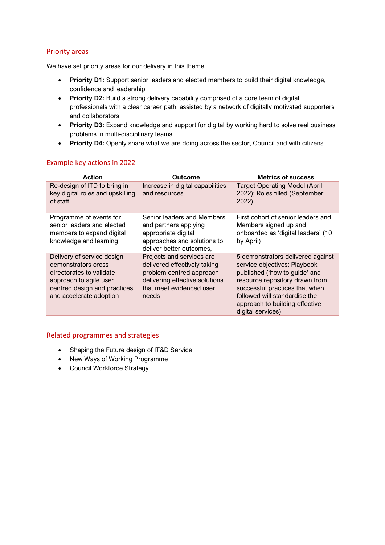We have set priority areas for our delivery in this theme.

- **Priority D1:** Support senior leaders and elected members to build their digital knowledge, confidence and leadership
- **Priority D2:** Build a strong delivery capability comprised of a core team of digital professionals with a clear career path; assisted by a network of digitally motivated supporters and collaborators
- **Priority D3:** Expand knowledge and support for digital by working hard to solve real business problems in multi-disciplinary teams
- **Priority D4:** Openly share what we are doing across the sector, Council and with citizens

#### Example key actions in 2022

| <b>Action</b>                                                                                                                                                      | <b>Outcome</b>                                                                                                                                               | <b>Metrics of success</b>                                                                                                                                                                                                                                      |
|--------------------------------------------------------------------------------------------------------------------------------------------------------------------|--------------------------------------------------------------------------------------------------------------------------------------------------------------|----------------------------------------------------------------------------------------------------------------------------------------------------------------------------------------------------------------------------------------------------------------|
| Re-design of ITD to bring in<br>key digital roles and upskilling<br>of staff                                                                                       | Increase in digital capabilities<br>and resources                                                                                                            | <b>Target Operating Model (April</b><br>2022); Roles filled (September<br>2022)                                                                                                                                                                                |
| Programme of events for<br>senior leaders and elected<br>members to expand digital<br>knowledge and learning                                                       | Senior leaders and Members<br>and partners applying<br>appropriate digital<br>approaches and solutions to<br>deliver better outcomes,                        | First cohort of senior leaders and<br>Members signed up and<br>onboarded as 'digital leaders' (10<br>by April)                                                                                                                                                 |
| Delivery of service design<br>demonstrators cross<br>directorates to validate<br>approach to agile user<br>centred design and practices<br>and accelerate adoption | Projects and services are<br>delivered effectively taking<br>problem centred approach<br>delivering effective solutions<br>that meet evidenced user<br>needs | 5 demonstrators delivered against<br>service objectives; Playbook<br>published ('how to guide' and<br>resource repository drawn from<br>successful practices that when<br>followed will standardise the<br>approach to building effective<br>digital services) |

- Shaping the Future design of IT&D Service
- New Ways of Working Programme
- Council Workforce Strategy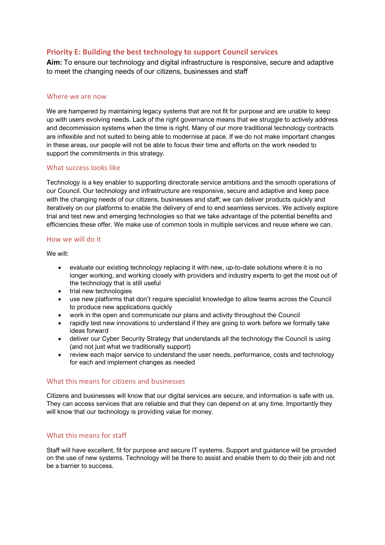#### <span id="page-15-0"></span>**Priority E: Building the best technology to support Council services**

**Aim:** To ensure our technology and digital infrastructure is responsive, secure and adaptive to meet the changing needs of our citizens, businesses and staff

#### Where we are now

We are hampered by maintaining legacy systems that are not fit for purpose and are unable to keep up with users evolving needs. Lack of the right governance means that we struggle to actively address and decommission systems when the time is right. Many of our more traditional technology contracts are inflexible and not suited to being able to modernise at pace. If we do not make important changes in these areas, our people will not be able to focus their time and efforts on the work needed to support the commitments in this strategy.

#### What success looks like

Technology is a key enabler to supporting directorate service ambitions and the smooth operations of our Council. Our technology and infrastructure are responsive, secure and adaptive and keep pace with the changing needs of our citizens, businesses and staff; we can deliver products quickly and iteratively on our platforms to enable the delivery of end to end seamless services. We actively explore trial and test new and emerging technologies so that we take advantage of the potential benefits and efficiencies these offer. We make use of common tools in multiple services and reuse where we can.

#### How we will do it

We will:

- evaluate our existing technology replacing it with new, up-to-date solutions where it is no longer working, and working closely with providers and industry experts to get the most out of the technology that is still useful
- trial new technologies
- use new platforms that don't require specialist knowledge to allow teams across the Council to produce new applications quickly
- work in the open and communicate our plans and activity throughout the Council
- rapidly test new innovations to understand if they are going to work before we formally take ideas forward
- deliver our Cyber Security Strategy that understands all the technology the Council is using (and not just what we traditionally support)
- review each major service to understand the user needs, performance, costs and technology for each and implement changes as needed

#### What this means for citizens and businesses

Citizens and businesses will know that our digital services are secure, and information is safe with us. They can access services that are reliable and that they can depend on at any time. Importantly they will know that our technology is providing value for money.

#### What this means for staff

Staff will have excellent, fit for purpose and secure IT systems. Support and guidance will be provided on the use of new systems. Technology will be there to assist and enable them to do their job and not be a barrier to success.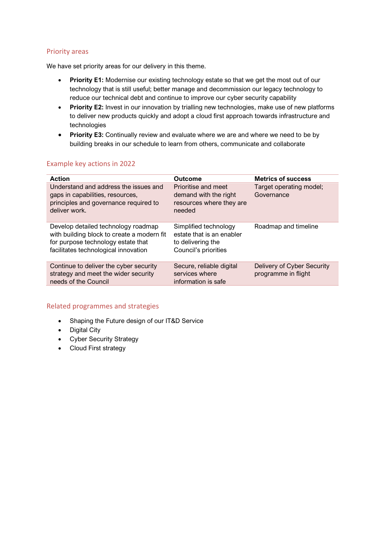We have set priority areas for our delivery in this theme.

- **Priority E1:** Modernise our existing technology estate so that we get the most out of our technology that is still useful; better manage and decommission our legacy technology to reduce our technical debt and continue to improve our cyber security capability
- **Priority E2:** Invest in our innovation by trialling new technologies, make use of new platforms to deliver new products quickly and adopt a cloud first approach towards infrastructure and technologies
- **Priority E3:** Continually review and evaluate where we are and where we need to be by building breaks in our schedule to learn from others, communicate and collaborate

#### Example key actions in 2022

| <b>Action</b><br>Understand and address the issues and                                                                                                          | <b>Outcome</b><br>Prioritise and meet                                                           | <b>Metrics of success</b><br>Target operating model; |
|-----------------------------------------------------------------------------------------------------------------------------------------------------------------|-------------------------------------------------------------------------------------------------|------------------------------------------------------|
| gaps in capabilities, resources,<br>principles and governance required to<br>deliver work.                                                                      | demand with the right<br>resources where they are<br>needed                                     | Governance                                           |
| Develop detailed technology roadmap<br>with building block to create a modern fit<br>for purpose technology estate that<br>facilitates technological innovation | Simplified technology<br>estate that is an enabler<br>to delivering the<br>Council's priorities | Roadmap and timeline                                 |
| Continue to deliver the cyber security<br>strategy and meet the wider security<br>needs of the Council                                                          | Secure, reliable digital<br>services where<br>information is safe                               | Delivery of Cyber Security<br>programme in flight    |

- Shaping the Future design of our IT&D Service
- Digital City
- Cyber Security Strategy
- Cloud First strategy